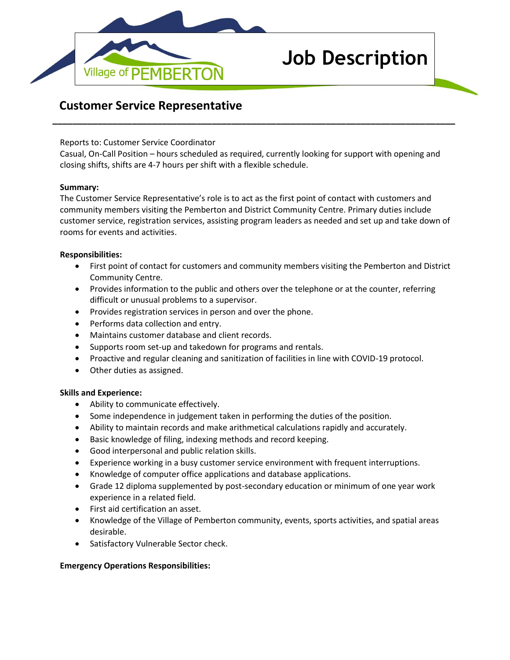

# **Job Description**

# **Customer Service Representative**

Reports to: Customer Service Coordinator

Casual, On-Call Position – hours scheduled as required, currently looking for support with opening and closing shifts, shifts are 4-7 hours per shift with a flexible schedule.

**\_\_\_\_\_\_\_\_\_\_\_\_\_\_\_\_\_\_\_\_\_\_\_\_\_\_\_\_\_\_\_\_\_\_\_\_\_\_\_\_\_\_\_\_\_\_\_\_\_\_\_\_\_\_\_\_\_\_\_\_\_\_\_\_\_\_\_\_\_\_\_\_\_\_\_\_\_\_\_\_\_**

## **Summary:**

The Customer Service Representative's role is to act as the first point of contact with customers and community members visiting the Pemberton and District Community Centre. Primary duties include customer service, registration services, assisting program leaders as needed and set up and take down of rooms for events and activities.

# **Responsibilities:**

- First point of contact for customers and community members visiting the Pemberton and District Community Centre.
- Provides information to the public and others over the telephone or at the counter, referring difficult or unusual problems to a supervisor.
- Provides registration services in person and over the phone.
- Performs data collection and entry.
- Maintains customer database and client records.
- Supports room set-up and takedown for programs and rentals.
- Proactive and regular cleaning and sanitization of facilities in line with COVID-19 protocol.
- Other duties as assigned.

## **Skills and Experience:**

- Ability to communicate effectively.
- Some independence in judgement taken in performing the duties of the position.
- Ability to maintain records and make arithmetical calculations rapidly and accurately.
- Basic knowledge of filing, indexing methods and record keeping.
- Good interpersonal and public relation skills.
- Experience working in a busy customer service environment with frequent interruptions.
- Knowledge of computer office applications and database applications.
- Grade 12 diploma supplemented by post-secondary education or minimum of one year work experience in a related field.
- First aid certification an asset.
- Knowledge of the Village of Pemberton community, events, sports activities, and spatial areas desirable.
- Satisfactory Vulnerable Sector check.

## **Emergency Operations Responsibilities:**